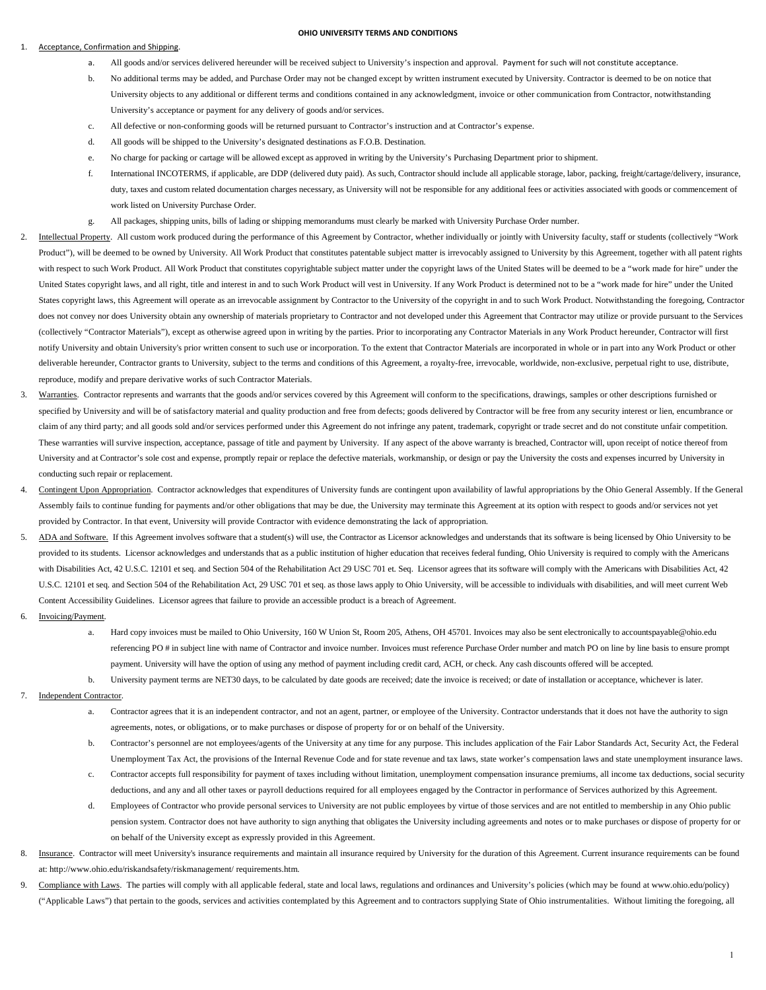## Acceptance, Confirmation and Shipping.

## **OHIO UNIVERSITY TERMS AND CONDITIONS**

- a. All goods and/or services delivered hereunder will be received subject to University's inspection and approval. Payment for such will not constitute acceptance.
- b. No additional terms may be added, and Purchase Order may not be changed except by written instrument executed by University. Contractor is deemed to be on notice that University objects to any additional or different terms and conditions contained in any acknowledgment, invoice or other communication from Contractor, notwithstanding University's acceptance or payment for any delivery of goods and/or services.
- c. All defective or non-conforming goods will be returned pursuant to Contractor's instruction and at Contractor's expense.
- d. All goods will be shipped to the University's designated destinations as F.O.B. Destination.
- e. No charge for packing or cartage will be allowed except as approved in writing by the University's Purchasing Department prior to shipment.
- f. International INCOTERMS, if applicable, are DDP (delivered duty paid). As such, Contractor should include all applicable storage, labor, packing, freight/cartage/delivery, insurance, duty, taxes and custom related documentation charges necessary, as University will not be responsible for any additional fees or activities associated with goods or commencement of work listed on University Purchase Order.
- g. All packages, shipping units, bills of lading or shipping memorandums must clearly be marked with University Purchase Order number.
- Intellectual Property. All custom work produced during the performance of this Agreement by Contractor, whether individually or jointly with University faculty, staff or students (collectively "Work Product"), will be deemed to be owned by University. All Work Product that constitutes patentable subject matter is irrevocably assigned to University by this Agreement, together with all patent rights with respect to such Work Product. All Work Product that constitutes copyrightable subject matter under the copyright laws of the United States will be deemed to be a "work made for hire" under the United States copyright laws, and all right, title and interest in and to such Work Product will vest in University. If any Work Product is determined not to be a "work made for hire" under the United States copyright laws, this Agreement will operate as an irrevocable assignment by Contractor to the University of the copyright in and to such Work Product. Notwithstanding the foregoing, Contractor does not convey nor does University obtain any ownership of materials proprietary to Contractor and not developed under this Agreement that Contractor may utilize or provide pursuant to the Services (collectively "Contractor Materials"), except as otherwise agreed upon in writing by the parties. Prior to incorporating any Contractor Materials in any Work Product hereunder, Contractor will first notify University and obtain University's prior written consent to such use or incorporation. To the extent that Contractor Materials are incorporated in whole or in part into any Work Product or other deliverable hereunder, Contractor grants to University, subject to the terms and conditions of this Agreement, a royalty-free, irrevocable, worldwide, non-exclusive, perpetual right to use, distribute, reproduce, modify and prepare derivative works of such Contractor Materials.
- 3. Warranties. Contractor represents and warrants that the goods and/or services covered by this Agreement will conform to the specifications, drawings, samples or other descriptions furnished or specified by University and will be of satisfactory material and quality production and free from defects; goods delivered by Contractor will be free from any security interest or lien, encumbrance or claim of any third party; and all goods sold and/or services performed under this Agreement do not infringe any patent, trademark, copyright or trade secret and do not constitute unfair competition. These warranties will survive inspection, acceptance, passage of title and payment by University. If any aspect of the above warranty is breached, Contractor will, upon receipt of notice thereof from University and at Contractor's sole cost and expense, promptly repair or replace the defective materials, workmanship, or design or pay the University the costs and expenses incurred by University in conducting such repair or replacement.
- 4. Contingent Upon Appropriation. Contractor acknowledges that expenditures of University funds are contingent upon availability of lawful appropriations by the Ohio General Assembly. If the General Assembly fails to continue funding for payments and/or other obligations that may be due, the University may terminate this Agreement at its option with respect to goods and/or services not yet provided by Contractor. In that event, University will provide Contractor with evidence demonstrating the lack of appropriation.
- 5. ADA and Software. If this Agreement involves software that a student(s) will use, the Contractor as Licensor acknowledges and understands that its software is being licensed by Ohio University to be provided to its students. Licensor acknowledges and understands that as a public institution of higher education that receives federal funding, Ohio University is required to comply with the Americans with Disabilities Act, 42 U.S.C. 12101 et seq. and Section 504 of the Rehabilitation Act 29 USC 701 et. Seq. Licensor agrees that its software will comply with the Americans with Disabilities Act, 42 U.S.C. 12101 et seq. and Section 504 of the Rehabilitation Act, 29 USC 701 et seq. as those laws apply to Ohio University, will be accessible to individuals with disabilities, and will meet current Web Content Accessibility Guidelines. Licensor agrees that failure to provide an accessible product is a breach of Agreement.
- 6. Invoicing/Payment.
	- a. Hard copy invoices must be mailed to Ohio University, 160 W Union St. Room 205, Athens, OH 45701. Invoices may also be sent electronically to accountspayable@ohio.edu referencing PO # in subject line with name of Contractor and invoice number. Invoices must reference Purchase Order number and match PO on line by line basis to ensure prompt payment. University will have the option of using any method of payment including credit card, ACH, or check. Any cash discounts offered will be accepted.
	- b. University payment terms are NET30 days, to be calculated by date goods are received; date the invoice is received; or date of installation or acceptance, whichever is later.
- Independent Contractor.
	- a. Contractor agrees that it is an independent contractor, and not an agent, partner, or employee of the University. Contractor understands that it does not have the authority to sign agreements, notes, or obligations, or to make purchases or dispose of property for or on behalf of the University.
	- b. Contractor's personnel are not employees/agents of the University at any time for any purpose. This includes application of the Fair Labor Standards Act, Security Act, the Federal Unemployment Tax Act, the provisions of the Internal Revenue Code and for state revenue and tax laws, state worker's compensation laws and state unemployment insurance laws.
	- c. Contractor accepts full responsibility for payment of taxes including without limitation, unemployment compensation insurance premiums, all income tax deductions, social security deductions, and any and all other taxes or payroll deductions required for all employees engaged by the Contractor in performance of Services authorized by this Agreement.
	- d. Employees of Contractor who provide personal services to University are not public employees by virtue of those services and are not entitled to membership in any Ohio public pension system. Contractor does not have authority to sign anything that obligates the University including agreements and notes or to make purchases or dispose of property for or on behalf of the University except as expressly provided in this Agreement.
- 8. Insurance. Contractor will meet University's insurance requirements and maintain all insurance required by University for the duration of this Agreement. Current insurance requirements can be found at[: http://www.ohio.edu/riskandsafety/riskmanagement/](http://www.ohio.edu/riskandsafety/riskmanagement/) requirements.htm.
- 9. Compliance with Laws. The parties will comply with all applicable federal, state and local laws, regulations and ordinances and University's policies (which may be found at www.ohio.edu/policy) ("Applicable Laws") that pertain to the goods, services and activities contemplated by this Agreement and to contractors supplying State of Ohio instrumentalities. Without limiting the foregoing, all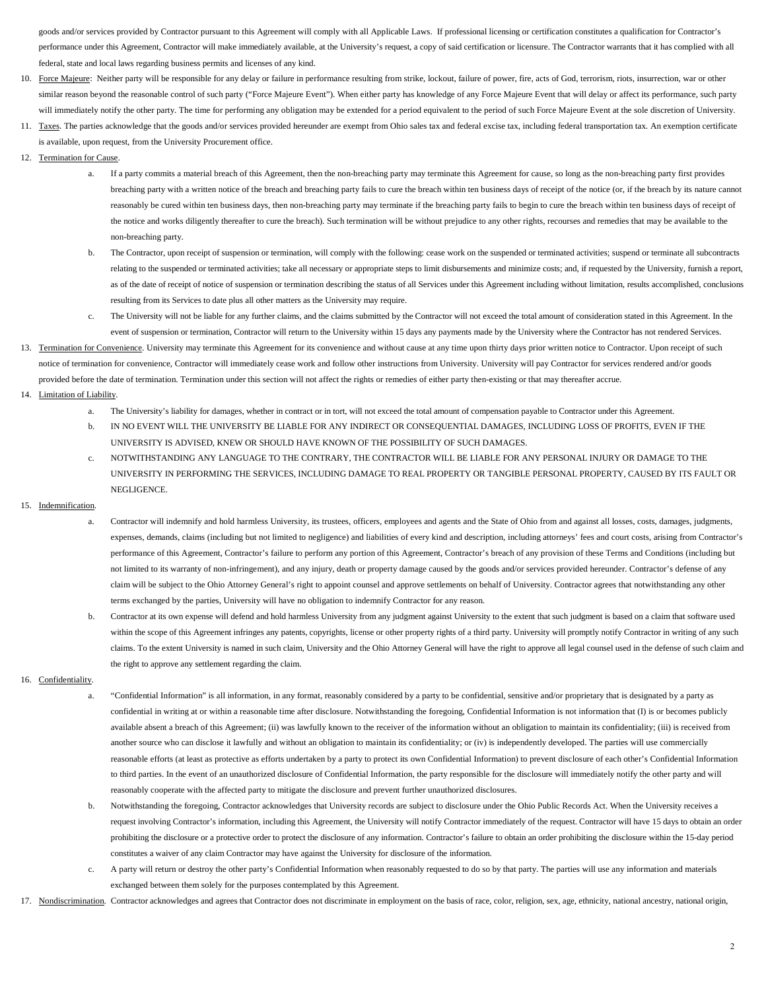goods and/or services provided by Contractor pursuant to this Agreement will comply with all Applicable Laws. If professional licensing or certification constitutes a qualification for Contractor's performance under this Agreement, Contractor will make immediately available, at the University's request, a copy of said certification or licensure. The Contractor warrants that it has complied with all federal, state and local laws regarding business permits and licenses of any kind.

- 10. Force Majeure: Neither party will be responsible for any delay or failure in performance resulting from strike, lockout, failure of power, fire, acts of God, terrorism, riots, insurrection, war or other similar reason beyond the reasonable control of such party ("Force Majeure Event"). When either party has knowledge of any Force Majeure Event that will delay or affect its performance, such party will immediately notify the other party. The time for performing any obligation may be extended for a period equivalent to the period of such Force Majeure Event at the sole discretion of University.
- 11. Taxes. The parties acknowledge that the goods and/or services provided hereunder are exempt from Ohio sales tax and federal excise tax, including federal transportation tax. An exemption certificate is available, upon request, from the University Procurement office.
- 12. Termination for Cause
	- a. If a party commits a material breach of this Agreement, then the non-breaching party may terminate this Agreement for cause, so long as the non-breaching party first provides breaching party with a written notice of the breach and breaching party fails to cure the breach within ten business days of receipt of the notice (or, if the breach by its nature cannot reasonably be cured within ten business days, then non-breaching party may terminate if the breaching party fails to begin to cure the breach within ten business days of receipt of the notice and works diligently thereafter to cure the breach). Such termination will be without prejudice to any other rights, recourses and remedies that may be available to the non-breaching party.
	- b. The Contractor, upon receipt of suspension or termination, will comply with the following: cease work on the suspended or terminated activities; suspend or terminate all subcontracts relating to the suspended or terminated activities; take all necessary or appropriate steps to limit disbursements and minimize costs; and, if requested by the University, furnish a report, as of the date of receipt of notice of suspension or termination describing the status of all Services under this Agreement including without limitation, results accomplished, conclusions resulting from its Services to date plus all other matters as the University may require.
	- c. The University will not be liable for any further claims, and the claims submitted by the Contractor will not exceed the total amount of consideration stated in this Agreement. In the event of suspension or termination, Contractor will return to the University within 15 days any payments made by the University where the Contractor has not rendered Services.
- 13. Termination for Convenience. University may terminate this Agreement for its convenience and without cause at any time upon thirty days prior written notice to Contractor. Upon receipt of such notice of termination for convenience, Contractor will immediately cease work and follow other instructions from University. University will pay Contractor for services rendered and/or goods provided before the date of termination. Termination under this section will not affect the rights or remedies of either party then-existing or that may thereafter accrue.
- 14. Limitation of Liability.
	- a. The University's liability for damages, whether in contract or in tort, will not exceed the total amount of compensation payable to Contractor under this Agreement.
	- b. IN NO EVENT WILL THE UNIVERSITY BE LIABLE FOR ANY INDIRECT OR CONSEQUENTIAL DAMAGES, INCLUDING LOSS OF PROFITS, EVEN IF THE UNIVERSITY IS ADVISED, KNEW OR SHOULD HAVE KNOWN OF THE POSSIBILITY OF SUCH DAMAGES.
	- c. NOTWITHSTANDING ANY LANGUAGE TO THE CONTRARY, THE CONTRACTOR WILL BE LIABLE FOR ANY PERSONAL INJURY OR DAMAGE TO THE UNIVERSITY IN PERFORMING THE SERVICES, INCLUDING DAMAGE TO REAL PROPERTY OR TANGIBLE PERSONAL PROPERTY, CAUSED BY ITS FAULT OR NEGLIGENCE.

## 15. Indemnification.

- a. Contractor will indemnify and hold harmless University, its trustees, officers, employees and agents and the State of Ohio from and against all losses, costs, damages, judgments, expenses, demands, claims (including but not limited to negligence) and liabilities of every kind and description, including attorneys' fees and court costs, arising from Contractor's performance of this Agreement, Contractor's failure to perform any portion of this Agreement, Contractor's breach of any provision of these Terms and Conditions (including but not limited to its warranty of non-infringement), and any injury, death or property damage caused by the goods and/or services provided hereunder. Contractor's defense of any claim will be subject to the Ohio Attorney General's right to appoint counsel and approve settlements on behalf of University. Contractor agrees that notwithstanding any other terms exchanged by the parties, University will have no obligation to indemnify Contractor for any reason.
- b. Contractor at its own expense will defend and hold harmless University from any judgment against University to the extent that such judgment is based on a claim that software used within the scope of this Agreement infringes any patents, copyrights, license or other property rights of a third party. University will promptly notify Contractor in writing of any such claims. To the extent University is named in such claim, University and the Ohio Attorney General will have the right to approve all legal counsel used in the defense of such claim and the right to approve any settlement regarding the claim.

## 16. Confidentiality.

- a. "Confidential Information" is all information, in any format, reasonably considered by a party to be confidential, sensitive and/or proprietary that is designated by a party as confidential in writing at or within a reasonable time after disclosure. Notwithstanding the foregoing, Confidential Information is not information that (I) is or becomes publicly available absent a breach of this Agreement; (ii) was lawfully known to the receiver of the information without an obligation to maintain its confidentiality; (iii) is received from another source who can disclose it lawfully and without an obligation to maintain its confidentiality; or (iv) is independently developed. The parties will use commercially reasonable efforts (at least as protective as efforts undertaken by a party to protect its own Confidential Information) to prevent disclosure of each other's Confidential Information to third parties. In the event of an unauthorized disclosure of Confidential Information, the party responsible for the disclosure will immediately notify the other party and will reasonably cooperate with the affected party to mitigate the disclosure and prevent further unauthorized disclosures.
- b. Notwithstanding the foregoing, Contractor acknowledges that University records are subject to disclosure under the Ohio Public Records Act. When the University receives a request involving Contractor's information, including this Agreement, the University will notify Contractor immediately of the request. Contractor will have 15 days to obtain an order prohibiting the disclosure or a protective order to protect the disclosure of any information. Contractor's failure to obtain an order prohibiting the disclosure within the 15-day period constitutes a waiver of any claim Contractor may have against the University for disclosure of the information.
- c. A party will return or destroy the other party's Confidential Information when reasonably requested to do so by that party. The parties will use any information and materials exchanged between them solely for the purposes contemplated by this Agreement.
- 17. Nondiscrimination. Contractor acknowledges and agrees that Contractor does not discriminate in employment on the basis of race, color, religion, sex, age, ethnicity, national ancestry, national origin,